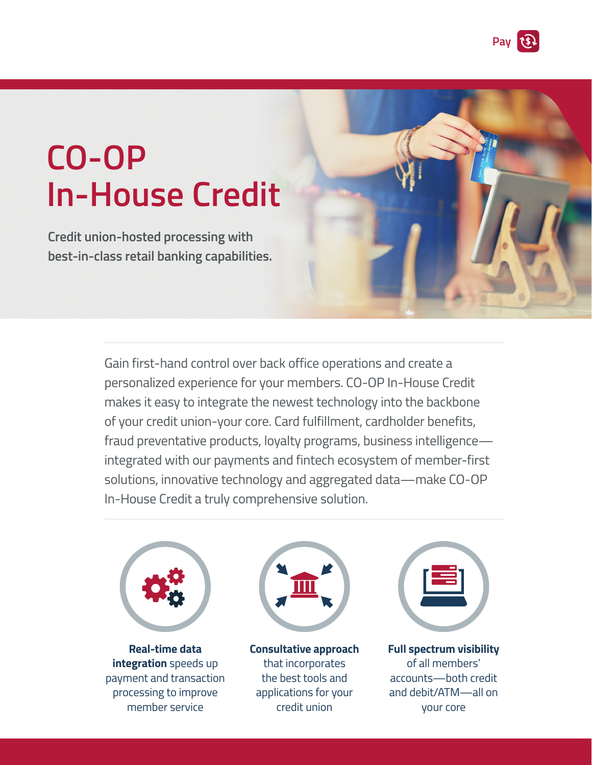

# **CO-OP In-House Credit**

**Credit union-hosted processing with best-in-class retail banking capabilities.**

> Gain first-hand control over back office operations and create a personalized experience for your members. CO-OP In-House Credit makes it easy to integrate the newest technology into the backbone of your credit union-your core. Card fulfillment, cardholder benefits, fraud preventative products, loyalty programs, business intelligence integrated with our payments and fintech ecosystem of member-first solutions, innovative technology and aggregated data—make CO-OP In-House Credit a truly comprehensive solution.



**Real-time data integration** speeds up payment and transaction processing to improve member service



**Consultative approach**  that incorporates the best tools and applications for your credit union



**Full spectrum visibility** of all members' accounts—both credit and debit/ATM—all on your core